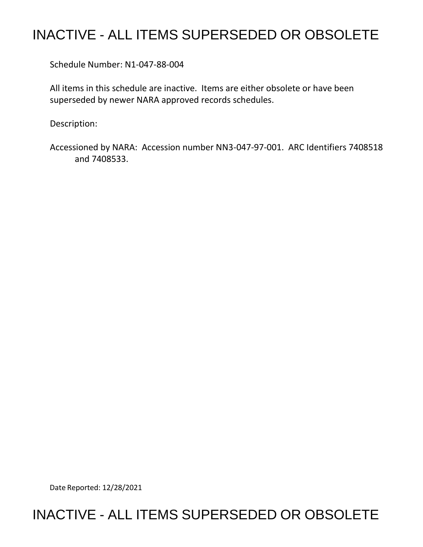## INACTIVE - ALL ITEMS SUPERSEDED OR OBSOLETE

Schedule Number: N1-047-88-004

 All items in this schedule are inactive. Items are either obsolete or have been superseded by newer NARA approved records schedules.

Description:

 Accessioned by NARA: Accession number NN3-047-97-001. ARC Identifiers 7408518 and 7408533.

Date Reported: 12/28/2021

## INACTIVE - ALL ITEMS SUPERSEDED OR OBSOLETE